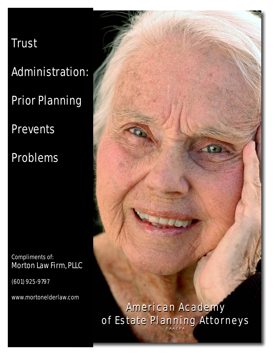# Trust

Administration:

Prior Planning

**Prevents** 

Problems

Compliments of: Morton Law Firm, PLLC

(601) 925-9797

www.mortonelderlaw.com



©AAEPA

©AAEPA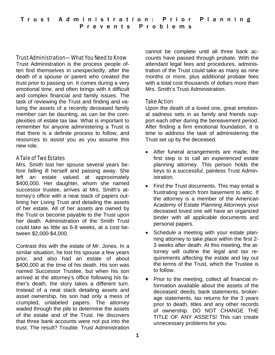#### Trust Administration—What You Need to Know

Trust Administration is the process people often find themselves in unexpectedly, after the death of a spouse or parent who created the trust prior to passing on. It comes during a very emotional time, and often brings with it difficult and complex financial and family issues. The task of reviewing the Trust and finding and valuing the assets of a recently deceased family member can be daunting, as can be the complexities of estate tax law. What is important to remember for anyone administering a Trust is that there is a definite process to follow, and resources to assist you as you assume this new role.

## A Tale of Two Estates

Mrs. Smith lost her spouse several years before falling ill herself and passing away. She left an estate valued at approximately \$400,000. Her daughter, whom she named successor trustee, arrives at Mrs. Smith's attorney's office with a neat stack of papers outlining her Living Trust and detailing the assets of her estate. All of her assets are owned by the Trust or become payable to the Trust upon her death. Administration of the Smith Trust could take as little as 6-8 weeks, at a cost between \$2,000-\$4,000.

Contrast this with the estate of Mr. Jones. In a similar situation, he lost his spouse a few years prior, and also had an estate of about \$400,000 at the time of his death. His son was named Successor Trustee, but when his son arrived at the attorney's office following his father's death, the story takes a different turn. Instead of a neat stack detailing assets and asset ownership, his son had only a mess of crumpled, unlabeled papers. The attorney waded through the pile to determine the assets of the estate and of the Trust. He discovers that three bank accounts were not put into the trust. The result? Trouble. Trust Administration

cannot be complete until all three bank accounts have passed through probate. With the attendant legal fees and procedures, administration of the Trust could take as many as nine months or more, plus additional probate fees with a total cost thousands of dollars more then Mrs. Smith's Trust Administration.

## Take Action

Upon the death of a loved one, great emotional sadness sets in as family and friends support each other during the bereavement period. After finding a firm emotional foundation, it is time to address the task of administering the Trust set up by the deceased.

- After funeral arrangements are made, the first step is to call an *experienced* estate planning attorney. This person holds the keys to a successful, painless Trust Administration.
- Find the Trust documents. This may entail a frustrating search from basement to attic. If the attorney is a member of the American Academy of Estate Planning Attorneys your deceased loved one will have an organized binder with all applicable documents and personal papers.
- Schedule a meeting with your estate planning attorney to take place within the first 2- 3 weeks after death. At this meeting, the attorney will outline the legal and tax requirements affecting the estate and lay out the terms of the Trust, which the Trustee is to follow.
- Prior to the meeting, collect all financial information available about the assets of the deceased: deeds, bank statements, brokerage statements, tax returns for the 3 years prior to death, titles and any other records of ownership. DO NOT CHANGE THE TITLE OF ANY ASSETS! This can create unnecessary problems for you.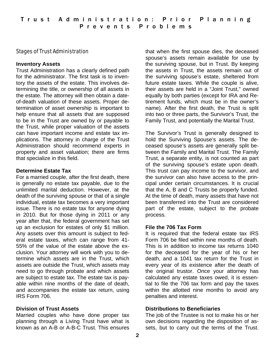## Stages of Trust Administration

#### **Inventory Assets**

Trust Administration has a clearly defined path for the administrator. The first task is to inventory the assets of the estate. This involves determining the title, or ownership of all assets in the estate. The attorney will then obtain a dateof-death valuation of these assets. Proper determination of asset ownership is important to help ensure that all assets that are supposed to be in the Trust are owned by or payable to the Trust, while proper valuation of the assets can have important income and estate tax implications. The attorney in charge of the Trust Administration should recommend experts in property and asset valuation; there are firms that specialize in this field.

## **Determine Estate Tax**

For a married couple, after the first death, there is generally no estate tax payable, due to the unlimited marital deduction. However, at the death of the surviving spouse or that of a single individual, estate tax becomes a very important issue. There is no estate tax for anyone dying in 2010. But for those dying in 2011 or any year after that, the federal government has set up an exclusion for estates of only \$1 million. Any assets over this amount is subject to federal estate taxes, which can range from 41- 55% of the value of the estate above the exclusion. Your attorney will work with you to determine which assets are in the Trust, which assets are outside the Trust, which assets may need to go through probate and which assets are subject to estate tax. The estate tax is payable within nine months of the date of death, and accompanies the estate tax return, using IRS Form 706.

## **Division of Trust Assets**

Married couples who have done proper tax planning through a Living Trust have what is known as an A-B or A-B-C Trust. This ensures

that when the first spouse dies, the deceased spouse's assets remain available for use by the surviving spouse, but in Trust. By keeping the assets in Trust, the assets remain out of the surviving spouse's estate, sheltered from future estate taxes. While the couple is alive, their assets are held in a "Joint Trust," owned equally by both parties (except for IRA and Retirement funds, which must be in the owner's name). After the first death, the Trust is split into two or three parts, the Survivor's Trust, the Family Trust, and potentially the Marital Trust.

The Survivor's Trust is generally designed to hold the Surviving Spouse's assets. The deceased spouse's assets are generally split between the Family and Marital Trust. The Family Trust, a separate entity, is not counted as part of the surviving spouse's estate upon death. This trust can pay income to the survivor, and the survivor can also have access to the principal under certain circumstances. It is crucial that the A, B and C Trusts be properly funded. At the time of death, many assets that have not been transferred into the Trust are considered part of the estate, subject to the probate process.

## **File the 706 Tax Form**

It is required that the federal estate tax IRS Form 706 be filed within nine months of death. This is in addition to income tax returns 1040 for the deceased for the year of his or her death, and a 1041 tax return for the Trust in every year of its existence after the death of the original trustor. Once your attorney has calculated any estate taxes owed, it is essential to file the 706 tax form and pay the taxes within the allotted nine months to avoid any penalties and interest.

## **Distributions to Beneficiaries**

The job of the Trustee is not to make his or her own decisions regarding the disposition of assets, but to carry out the terms of the Trust.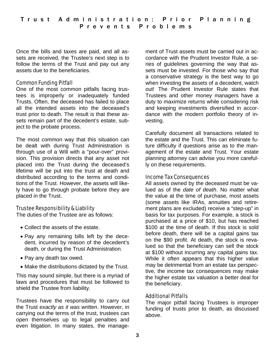Once the bills and taxes are paid, and all assets are received, the Trustee's next step is to follow the terms of the Trust and pay out any assets due to the beneficiaries.

#### Common Funding Pitfall

One of the most common pitfalls facing trustees is improperly or inadequately funded Trusts. Often, the deceased has failed to place all the intended assets into the deceased's trust prior to death. The result is that these assets remain part of the decedent's estate, subject to the probate process.

The most common way that this situation can be dealt with during Trust Administration is through use of a Will with a "pour-over" provision. This provision directs that any asset not placed into the Trust during the deceased's lifetime will be put into the trust at death and distributed according to the terms and conditions of the Trust. However, the assets will likely have to go through probate before they are placed in the Trust.

## Trustee Responsibility & Liability

The duties of the Trustee are as follows:

- Collect the assets of the estate.
- Pay any remaining bills left by the decedent, incurred by reason of the decedent's death, or during the Trust Administration.
- Pay any death tax owed.
- Make the distributions dictated by the Trust.

This may sound simple, but there is a myriad of laws and procedures that must be followed to shield the Trustee from liability.

Trustees have the responsibility to carry out the Trust *exactly as it was written*. However, in carrying out the terms of the trust, trustees can open themselves up to legal penalties and even litigation. In many states, the manage-

ment of Trust assets must be carried out in accordance with the Prudent Investor Rule, a series of guidelines governing the way that assets must be invested. For those who say that a conservative strategy is the best way to go when investing the assets of a decedent, watch out! The Prudent Investor Rule states that Trustees and other money managers have a duty to maximize returns while considering risk and keeping investments diversified in accordance with the modern portfolio theory of investing.

Carefully document all transactions related to the estate and the Trust. This can eliminate future difficulty if questions arise as to the management of the estate and Trust. Your estate planning attorney can advise you more carefully on these requirements.

#### Income Tax Consequences

All assets owned by the deceased must be valued as of the *date of death*. No matter what the value at the time of purchase, most assets (some assets like IRAs, annuities and retirement plans are excluded) receive a "step-up" in basis for tax purposes. For example, a stock is purchased at a price of \$10, but has reached \$100 at the time of death. If this stock is sold before death, there will be a capital gains tax on the \$90 profit. At death, the stock is revalued so that the beneficiary can sell the stock at \$100 without incurring any capital gains tax. While it often appears that this higher value may be detrimental from an estate tax perspective, the income tax consequences may make the higher estate tax valuation a better deal for the beneficiary.

## Additional Pitfalls

The major pitfall facing Trustees is improper funding of trusts prior to death, as discussed above.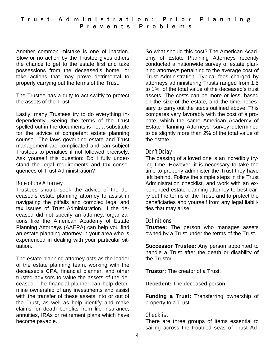Another common mistake is one of inaction. Slow or no action by the Trustee gives others the chance to get to the estate first and take possessions from the deceased's home, or take actions that may prove detrimental to properly carrying out the terms of the Trust.

The Trustee has a duty to act swiftly to protect the assets of the Trust.

Lastly, many Trustees try to do everything independently. Seeing the terms of the Trust spelled out in the documents is not a substitute for the advice of competent estate planning counsel. The laws governing estate and Trust management are complicated and can subject Trustees to penalties if not followed precisely. Ask yourself this question: Do I fully understand the legal requirements and tax consequences of Trust Administration?

#### Role of the Attorney

Trustees should seek the advice of the deceased's estate planning attorney to assist in navigating the pitfalls and complex legal and tax issues of Trust Administration. If the deceased did not specify an attorney, organizations like the American Academy of Estate Planning Attorneys (AAEPA) can help you find an estate planning attorney in your area who is experienced in dealing with your particular situation.

The estate planning attorney acts as the leader of the estate planning team, working with the deceased's CPA, financial planner, and other trusted advisors to value the assets of the deceased. The financial planner can help determine ownership of any investments and assist with the transfer of these assets into or out of the Trust, as well as help identify and make claims for death benefits from life insurance, annuities, IRAs or retirement plans which have become payable.

So what should this cost? The American Academy of Estate Planning Attorneys recently conducted a nationwide survey of estate planning attorneys pertaining to the average cost of Trust Administration. Typical fees charged by attorneys administering Trusts ranged from 1.5 to 1% of the total value of the deceased's trust assets. The costs can be more or less, based on the size of the estate, and the time necessary to carry out the steps outlined above. This compares very favorably with the cost of a probate, which the same American Academy of Estate Planning Attorneys' survey determined to be slightly more than 2% of the total value of the estate.

## Don't Delay

The passing of a loved one is an incredibly trying time. However, it is necessary to take the time to properly administer the Trust they have left behind. Follow the simple steps in the Trust Administration checklist, and work with an experienced estate planning attorney to best carry out the terms of the Trust, and to protect the beneficiaries and yourself from any legal liabilities that may arise.

# **Definitions**

**Trustee:** The person who manages assets owned by a Trust under the terms of the Trust.

**Successor Trustee:** Any person appointed to handle a Trust after the death or disability of the Trustor.

**Trustor:** The creator of a Trust.

**Decedent:** The deceased person.

**Funding a Trust:** Transferring ownership of property to a Trust.

## Checklist

There are three groups of items essential to sailing across the troubled seas of Trust Ad-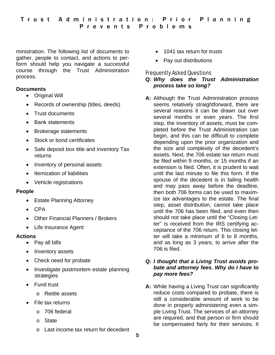ministration. The following list of documents to gather, people to contact, and actions to perform should help you navigate a successful course through the Trust Administration process.

## **Documents**

- Original Will
- Records of ownership (titles, deeds)
- Trust documents
- Bank statements
- Brokerage statements
- Stock or bond certificates
- Safe deposit box title and inventory Tax returns
- Inventory of personal assets
- Itemization of liabilities
- Vehicle registrations

#### **People**

- Estate Planning Attorney
- $\bullet$  CPA
- Other Financial Planners / Brokers
- Life Insurance Agent

#### **Actions**

- Pay all bills
- Inventory assets
- Check need for probate
- Investigate postmortem estate planning strategies
- **•** Fund trust
	- o Retitle assets
- File tax returns
	- o 706 federal
	- o State
	- o Last income tax return for decedent
- 1041 tax return for trusts
- Pay out distributions

## Frequently Asked Questions

#### **Q:** *Why does the Trust Administration process take so long?*

**A:** Although the Trust Administration process seems relatively straightforward, there are several reasons it can be drawn out over several months or even years. The first step, the inventory of assets, must be completed before the Trust Administration can begin, and this can be difficult to complete depending upon the prior organization and the size and complexity of the decedent's assets. Next, the 706 estate tax return must be filed within 9 months, or 15 months if an extension is filed. Often, it is prudent to wait until the last minute to file this form. If the spouse of the decedent is in failing health and may pass away before the deadline, then both 706 forms can be used to maximize tax advantages to the estate. The final step, asset distribution, cannot take place until the 706 has been filed, and even then should not take place until the "Closing Letter" is received from the IRS certifying acceptance of the 706 return. This closing letter will take a minimum of 6 to 8 months, and as long as 3 years, to arrive after the 706 is filed.

#### **Q:** *I thought that a Living Trust avoids probate and attorney fees. Why do I have to pay more fees?*

**A:** While having a Living Trust can significantly reduce costs compared to probate, there is still a considerable amount of work to be done in properly administering even a simple Living Trust. The services of an attorney are required, and that person or firm should be compensated fairly for their services. It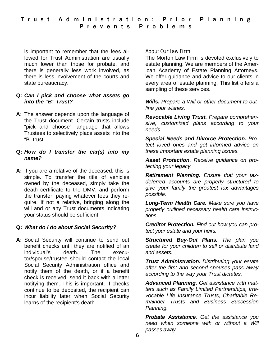is important to remember that the fees allowed for Trust Administration are usually much lower than those for probate, and there is generally less work involved, as there is less involvement of the courts and state bureaucracy.

#### **Q:** *Can I pick and choose what assets go into the "B" Trust?*

**A:** The answer depends upon the language of the Trust document. Certain trusts include "pick and choose" language that allows Trustees to selectively place assets into the "B" trust.

#### **Q:** *How do I transfer the car(s) into my name?*

**A:** If you are a relative of the deceased, this is simple. To transfer the title of vehicles owned by the deceased, simply take the death certificate to the DMV, and perform the transfer, paying whatever fees they require. If not a relative, bringing along the will and or any Trust documents indicating your status should be sufficient.

# **Q:** *What do I do about Social Security?*

**A:** Social Security will continue to send out benefit checks until they are notified of an individual's death. The executor/spouse/trustee should contact the local Social Security Administration office and notify them of the death, or if a benefit check is received, send it back with a letter notifying them. This is important. If checks continue to be deposited, the recipient can incur liability later when Social Security learns of the recipient's death

#### About Our Law Firm

The Morton Law Firm is devoted exclusively to estate planning. We are members of the American Academy of Estate Planning Attorneys. We offer guidance and advice to our clients in every area of estate planning. This list offers a sampling of these services.

*Wills. Prepare a Will or other document to outline your wishes.* 

*Revocable Living Trust. Prepare comprehensive, customized plans according to your needs.* 

*Special Needs and Divorce Protection. Protect loved ones and get informed advice on these important estate planning issues.* 

*Asset Protection. Receive guidance on protecting your legacy.* 

*Retirement Planning. Ensure that your taxdeferred accounts are properly structured to give your family the greatest tax advantages possible.* 

*Long-Term Health Care. Make sure you have properly outlined necessary health care instructions.* 

*Creditor Protection. Find out how you can protect your estate and your heirs.* 

*Structured Buy-Out Plans. The plan you create for your children to sell or distribute land and assets.* 

*Trust Administration. Distributing your estate after the first and second spouses pass away according to the way your Trust dictates.*

*Advanced Planning. Get assistance with matters such as Family Limited Partnerships, Irrevocable Life Insurance Trusts, Charitable Remainder Trusts and Business Succession Planning.* 

*Probate Assistance. Get the assistance you need when someone with or without a Will passes away.*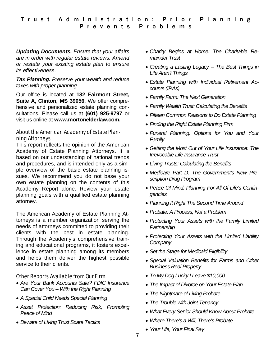*Updating Documents. Ensure that your affairs are in order with regular estate reviews. Amend or restate your existing estate plan to ensure its effectiveness.* 

#### *Tax Planning. Preserve your wealth and reduce taxes with proper planning.*

Our office is located at **132 Fairmont Street, Suite A, Clinton, MS 39056.** We offer comprehensive and personalized estate planning consultations. Please call us at **(601) 925-9797** or visit us online at **www.mortonelderlaw.com.** 

#### About the American Academy of Estate Planning Attorneys

This report reflects the opinion of the American Academy of Estate Planning Attorneys. It is based on our understanding of national trends and procedures, and is intended only as a simple overview of the basic estate planning issues. We recommend you do not base your own estate planning on the contents of this Academy Report alone. Review your estate planning goals with a qualified estate planning attorney.

The American Academy of Estate Planning Attorneys is a member organization serving the needs of attorneys committed to providing their clients with the best in estate planning. Through the Academy's comprehensive training and educational programs, it fosters excellence in estate planning among its members and helps them deliver the highest possible service to their clients.

## Other Reports Available from Our Firm

- *Are Your Bank Accounts Safe? FDIC Insurance Can Cover You – With the Right Planning*
- *A Special Child Needs Special Planning*
- *Asset Protection: Reducing Risk, Promoting Peace of Mind*
- *Beware of Living Trust Scare Tactics*
- *Charity Begins at Home: The Charitable Remainder Trust*
- *Creating a Lasting Legacy The Best Things in Life Aren't Things*
- *Estate Planning with Individual Retirement Accounts (IRAs)*
- *Family Farm: The Next Generation*
- *Family Wealth Trust: Calculating the Benefits*
- *Fifteen Common Reasons to Do Estate Planning*
- *Finding the Right Estate Planning Firm*
- *Funeral Planning: Options for You and Your Family*
- *Getting the Most Out of Your Life Insurance: The Irrevocable Life Insurance Trust*
- *Living Trusts: Calculating the Benefits*
- *Medicare Part D: The Government's New Prescription Drug Program*
- *Peace Of Mind: Planning For All Of Life's Contingencies*
- *Planning It Right The Second Time Around*
- *Probate: A Process, Not a Problem*
- *Protecting Your Assets with the Family Limited Partnership*
- *Protecting Your Assets with the Limited Liability Company*
- *Set the Stage for Medicaid Eligibility*
- *Special Valuation Benefits for Farms and Other Business Real Property*
- *To My Dog Lucky I Leave \$10,000*
- *The Impact of Divorce on Your Estate Plan*
- *The Nightmare of Living Probate*
- *The Trouble with Joint Tenancy*
- *What Every Senior Should Know About Probate*
- *Where There's a Will, There's Probate*
- *Your Life, Your Final Say*